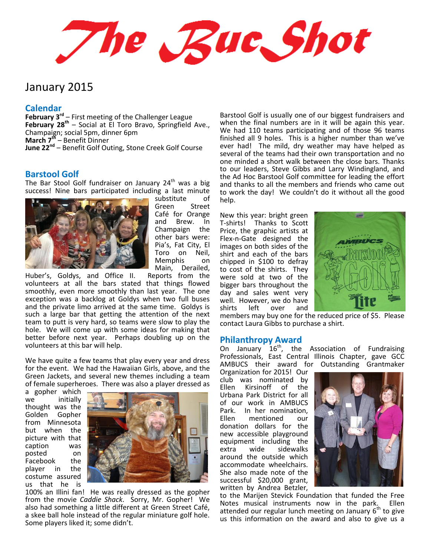The Rue Shot

# January 2015

#### **Calendar**

**February 3rd** – First meeting of the Challenger League **February 28th** – Social at El Toro Bravo, Springfield Ave., Champaign; social 5pm, dinner 6pm **March 7th** – Benefit Dinner **June 22nd** – Benefit Golf Outing, Stone Creek Golf Course

### **Barstool Golf**

The Bar Stool Golf fundraiser on January  $24<sup>th</sup>$  was a big success! Nine bars participated including a last minute



substitute of Green Street Café for Orange and Brew. In Champaign the other bars were: Pia's, Fat City, El Toro on Neil, Memphis on Main, Derailed,

Huber's, Goldys, and Office II. Reports from the volunteers at all the bars stated that things flowed smoothly, even more smoothly than last year. The one exception was a backlog at Goldys when two full buses and the private limo arrived at the same time. Goldys is such a large bar that getting the attention of the next team to putt is very hard, so teams were slow to play the hole. We will come up with some ideas for making that better before next year. Perhaps doubling up on the volunteers at this bar will help.

We have quite a few teams that play every year and dress for the event. We had the Hawaiian Girls, above, and the Green Jackets, and several new themes including a team of female superheroes. There was also a player dressed as

a gopher which we initially thought was the Golden Gopher from Minnesota but when the picture with that caption was posted on Facebook the player in the costume assured us that he is



100% an Illini fan! He was really dressed as the gopher from the movie *Caddie Shack*. Sorry, Mr. Gopher! We also had something a little different at Green Street Café, a skee ball hole instead of the regular miniature golf hole. Some players liked it; some didn't.

Barstool Golf is usually one of our biggest fundraisers and when the final numbers are in it will be again this year. We had 110 teams participating and of those 96 teams finished all 9 holes. This is a higher number than we've ever had! The mild, dry weather may have helped as several of the teams had their own transportation and no one minded a short walk between the close bars. Thanks to our leaders, Steve Gibbs and Larry Windingland, and the Ad Hoc Barstool Golf committee for leading the effort and thanks to all the members and friends who came out to work the day! We couldn't do it without all the good help.

New this year: bright green T-shirts! Thanks to Scott Price, the graphic artists at Flex-n-Gate designed the images on both sides of the shirt and each of the bars chipped in \$100 to defray to cost of the shirts. They were sold at two of the bigger bars throughout the day and sales went very well. However, we do have shirts left over and



members may buy one for the reduced price of \$5. Please contact Laura Gibbs to purchase a shirt.

#### **Philanthropy Award**

On January  $16^{th}$ , the Association of Fundraising Professionals, East Central Illinois Chapter, gave GCC AMBUCS their award for Outstanding Grantmaker

Organization for 2015! Our club was nominated by<br>Ellen Kirsinoff of the Ellen Kirsinoff of the Urbana Park District for all of our work in AMBUCS Park. In her nomination, Ellen mentioned our donation dollars for the new accessible playground equipment including the<br>extra wide sidewalks wide sidewalks around the outside which accommodate wheelchairs. She also made note of the successful \$20,000 grant, written by Andrea Betzler,



to the Marijen Stevick Foundation that funded the Free Notes musical instruments now in the park. Ellen attended our regular lunch meeting on January  $6<sup>th</sup>$  to give us this information on the award and also to give us a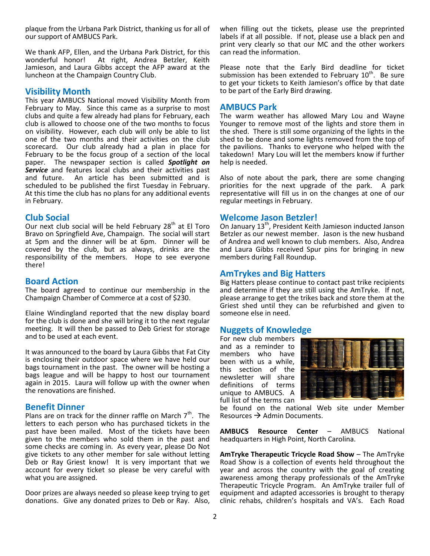plaque from the Urbana Park District, thanking us for all of our support of AMBUCS Park.

We thank AFP, Ellen, and the Urbana Park District, for this<br>wonderful honor! At right. Andrea Betzler. Keith At right, Andrea Betzler, Keith Jamieson, and Laura Gibbs accept the AFP award at the luncheon at the Champaign Country Club.

#### **Visibility Month**

This year AMBUCS National moved Visibility Month from February to May. Since this came as a surprise to most clubs and quite a few already had plans for February, each club is allowed to choose one of the two months to focus on visibility. However, each club will only be able to list one of the two months and their activities on the club scorecard. Our club already had a plan in place for February to be the focus group of a section of the local paper. The newspaper section is called *Spotlight on*  **Service** and features local clubs and their activities past and future. An article has been submitted and is An article has been submitted and is scheduled to be published the first Tuesday in February. At this time the club has no plans for any additional events in February.

#### **Club Social**

Our next club social will be held February  $28<sup>th</sup>$  at El Toro Bravo on Springfield Ave, Champaign. The social will start at 5pm and the dinner will be at 6pm. Dinner will be covered by the club, but as always, drinks are the responsibility of the members. Hope to see everyone there!

#### **Board Action**

The board agreed to continue our membership in the Champaign Chamber of Commerce at a cost of \$230.

Elaine Windingland reported that the new display board for the club is done and she will bring it to the next regular meeting. It will then be passed to Deb Griest for storage and to be used at each event.

It was announced to the board by Laura Gibbs that Fat City is enclosing their outdoor space where we have held our bags tournament in the past. The owner will be hosting a bags league and will be happy to host our tournament again in 2015. Laura will follow up with the owner when the renovations are finished.

## **Benefit Dinner**

Plans are on track for the dinner raffle on March  $7<sup>th</sup>$ . The letters to each person who has purchased tickets in the past have been mailed. Most of the tickets have been given to the members who sold them in the past and some checks are coming in. As every year, please Do Not give tickets to any other member for sale without letting Deb or Ray Griest know! It is very important that we account for every ticket so please be very careful with what you are assigned.

Door prizes are always needed so please keep trying to get donations. Give any donated prizes to Deb or Ray. Also,

when filling out the tickets, please use the preprinted labels if at all possible. If not, please use a black pen and print very clearly so that our MC and the other workers can read the information.

Please note that the Early Bird deadline for ticket submission has been extended to February 10<sup>th</sup>. Be sure to get your tickets to Keith Jamieson's office by that date to be part of the Early Bird drawing.

#### **AMBUCS Park**

The warm weather has allowed Mary Lou and Wayne Younger to remove most of the lights and store them in the shed. There is still some organizing of the lights in the shed to be done and some lights removed from the top of the pavilions. Thanks to everyone who helped with the takedown! Mary Lou will let the members know if further help is needed.

Also of note about the park, there are some changing priorities for the next upgrade of the park. A park representative will fill us in on the changes at one of our regular meetings in February.

#### **Welcome Jason Betzler!**

On January 13<sup>th</sup>, President Keith Jamieson inducted Janson Betzler as our newest member. Jason is the new husband of Andrea and well known to club members. Also, Andrea and Laura Gibbs received Spur pins for bringing in new members during Fall Roundup.

### **AmTrykes and Big Hatters**

Big Hatters please continue to contact past trike recipients and determine if they are still using the AmTryke. If not, please arrange to get the trikes back and store them at the Griest shed until they can be refurbished and given to someone else in need.

## **Nuggets of Knowledge**

For new club members and as a reminder to members who have been with us a while, this section of the newsletter will share definitions of terms unique to AMBUCS. A full list of the terms can



be found on the national Web site under Member Resources  $\rightarrow$  Admin Documents.

**AMBUCS Resource Center** – AMBUCS National headquarters in High Point, North Carolina.

**AmTryke Therapeutic Tricycle Road Show** – The AmTryke Road Show is a collection of events held throughout the year and across the country with the goal of creating awareness among therapy professionals of the AmTryke Therapeutic Tricycle Program. An AmTryke trailer full of equipment and adapted accessories is brought to therapy clinic rehabs, children's hospitals and VA's. Each Road